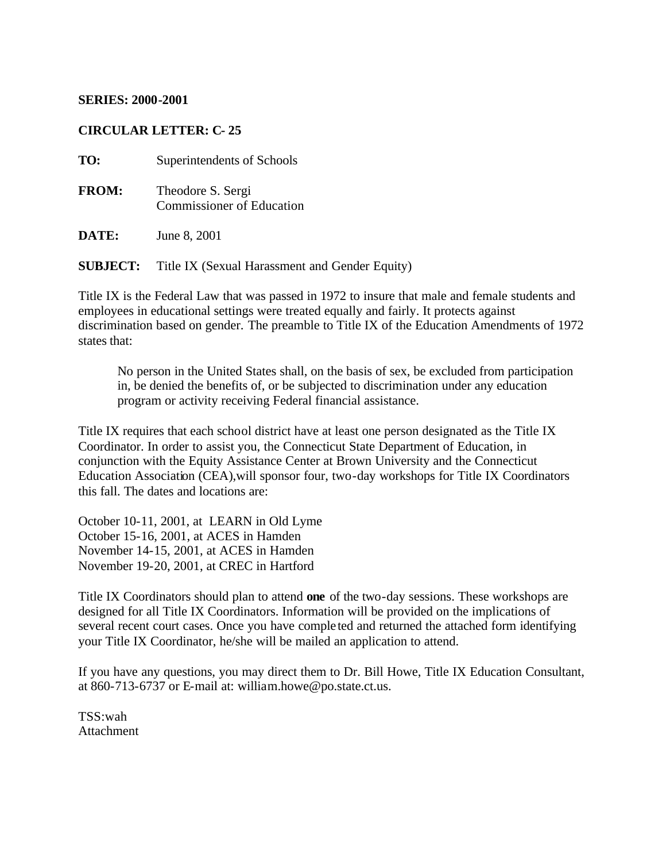## **SERIES: 2000-2001**

## **CIRCULAR LETTER: C- 25**

| TO:          | Superintendents of Schools                            |  |
|--------------|-------------------------------------------------------|--|
| <b>FROM:</b> | Theodore S. Sergi<br><b>Commissioner of Education</b> |  |
| DATE:        | June 8, 2001                                          |  |

**SUBJECT:** Title IX (Sexual Harassment and Gender Equity)

Title IX is the Federal Law that was passed in 1972 to insure that male and female students and employees in educational settings were treated equally and fairly. It protects against discrimination based on gender. The preamble to Title IX of the Education Amendments of 1972 states that:

No person in the United States shall, on the basis of sex, be excluded from participation in, be denied the benefits of, or be subjected to discrimination under any education program or activity receiving Federal financial assistance.

Title IX requires that each school district have at least one person designated as the Title IX Coordinator. In order to assist you, the Connecticut State Department of Education, in conjunction with the Equity Assistance Center at Brown University and the Connecticut Education Association (CEA),will sponsor four, two-day workshops for Title IX Coordinators this fall. The dates and locations are:

October 10-11, 2001, at LEARN in Old Lyme October 15-16, 2001, at ACES in Hamden November 14-15, 2001, at ACES in Hamden November 19-20, 2001, at CREC in Hartford

Title IX Coordinators should plan to attend **one** of the two-day sessions. These workshops are designed for all Title IX Coordinators. Information will be provided on the implications of several recent court cases. Once you have comple ted and returned the attached form identifying your Title IX Coordinator, he/she will be mailed an application to attend.

If you have any questions, you may direct them to Dr. Bill Howe, Title IX Education Consultant, at 860-713-6737 or E-mail at: william.howe@po.state.ct.us.

TSS:wah **Attachment**